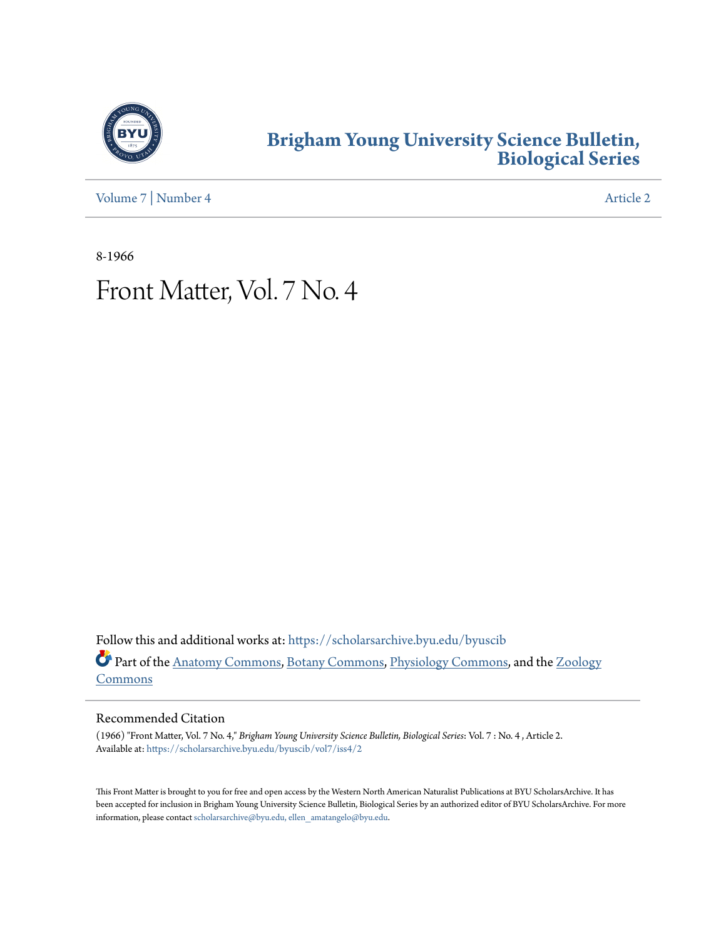

### **[Brigham Young University Science Bulletin,](https://scholarsarchive.byu.edu/byuscib?utm_source=scholarsarchive.byu.edu%2Fbyuscib%2Fvol7%2Fiss4%2F2&utm_medium=PDF&utm_campaign=PDFCoverPages) [Biological Series](https://scholarsarchive.byu.edu/byuscib?utm_source=scholarsarchive.byu.edu%2Fbyuscib%2Fvol7%2Fiss4%2F2&utm_medium=PDF&utm_campaign=PDFCoverPages)**

[Volume 7](https://scholarsarchive.byu.edu/byuscib/vol7?utm_source=scholarsarchive.byu.edu%2Fbyuscib%2Fvol7%2Fiss4%2F2&utm_medium=PDF&utm_campaign=PDFCoverPages) | [Number 4](https://scholarsarchive.byu.edu/byuscib/vol7/iss4?utm_source=scholarsarchive.byu.edu%2Fbyuscib%2Fvol7%2Fiss4%2F2&utm_medium=PDF&utm_campaign=PDFCoverPages) [Article 2](https://scholarsarchive.byu.edu/byuscib/vol7/iss4/2?utm_source=scholarsarchive.byu.edu%2Fbyuscib%2Fvol7%2Fiss4%2F2&utm_medium=PDF&utm_campaign=PDFCoverPages)

8-1966

# Front Matter, Vol. 7 No. 4

Follow this and additional works at: [https://scholarsarchive.byu.edu/byuscib](https://scholarsarchive.byu.edu/byuscib?utm_source=scholarsarchive.byu.edu%2Fbyuscib%2Fvol7%2Fiss4%2F2&utm_medium=PDF&utm_campaign=PDFCoverPages) Part of the [Anatomy Commons](http://network.bepress.com/hgg/discipline/903?utm_source=scholarsarchive.byu.edu%2Fbyuscib%2Fvol7%2Fiss4%2F2&utm_medium=PDF&utm_campaign=PDFCoverPages), [Botany Commons](http://network.bepress.com/hgg/discipline/104?utm_source=scholarsarchive.byu.edu%2Fbyuscib%2Fvol7%2Fiss4%2F2&utm_medium=PDF&utm_campaign=PDFCoverPages), [Physiology Commons,](http://network.bepress.com/hgg/discipline/69?utm_source=scholarsarchive.byu.edu%2Fbyuscib%2Fvol7%2Fiss4%2F2&utm_medium=PDF&utm_campaign=PDFCoverPages) and the [Zoology](http://network.bepress.com/hgg/discipline/81?utm_source=scholarsarchive.byu.edu%2Fbyuscib%2Fvol7%2Fiss4%2F2&utm_medium=PDF&utm_campaign=PDFCoverPages) [Commons](http://network.bepress.com/hgg/discipline/81?utm_source=scholarsarchive.byu.edu%2Fbyuscib%2Fvol7%2Fiss4%2F2&utm_medium=PDF&utm_campaign=PDFCoverPages)

#### Recommended Citation

(1966) "Front Matter, Vol. 7 No. 4," *Brigham Young University Science Bulletin, Biological Series*: Vol. 7 : No. 4 , Article 2. Available at: [https://scholarsarchive.byu.edu/byuscib/vol7/iss4/2](https://scholarsarchive.byu.edu/byuscib/vol7/iss4/2?utm_source=scholarsarchive.byu.edu%2Fbyuscib%2Fvol7%2Fiss4%2F2&utm_medium=PDF&utm_campaign=PDFCoverPages)

This Front Matter is brought to you for free and open access by the Western North American Naturalist Publications at BYU ScholarsArchive. It has been accepted for inclusion in Brigham Young University Science Bulletin, Biological Series by an authorized editor of BYU ScholarsArchive. For more information, please contact [scholarsarchive@byu.edu, ellen\\_amatangelo@byu.edu](mailto:scholarsarchive@byu.edu,%20ellen_amatangelo@byu.edu).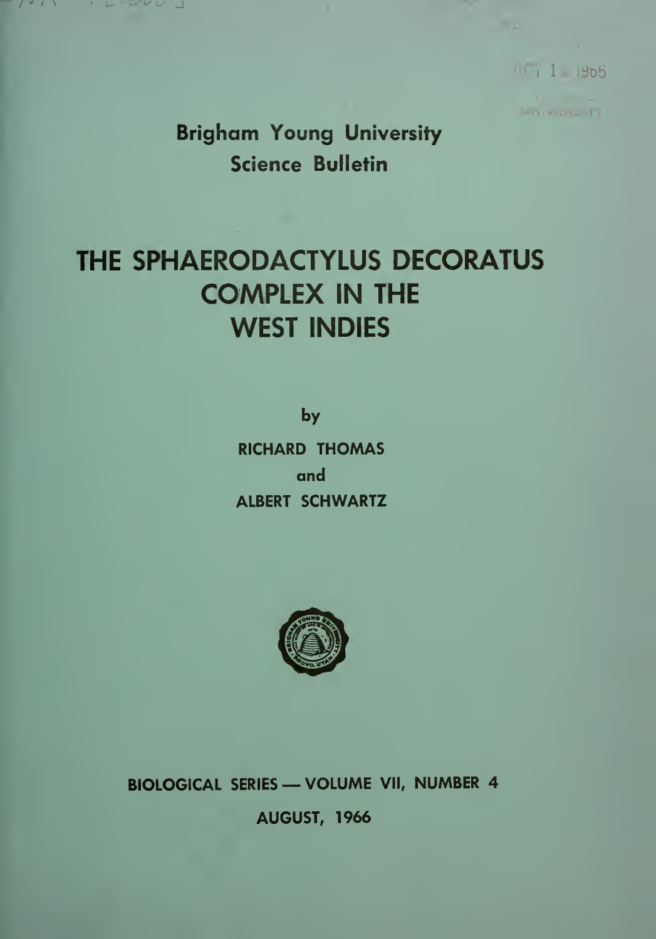$111965$ 

**LINVILLE** 

Brigham Young University Science Bulletin

v u \_l

## THE SPHAERODACTYLUS DECORATUS COMPLEX IN THE WEST INDIES

by RICHARD THOMAS and ALBERT SCHWARTZ



BIOLOGICAL SERIES —VOLUME VII, NUMBER <sup>4</sup> AUGUST, 1966